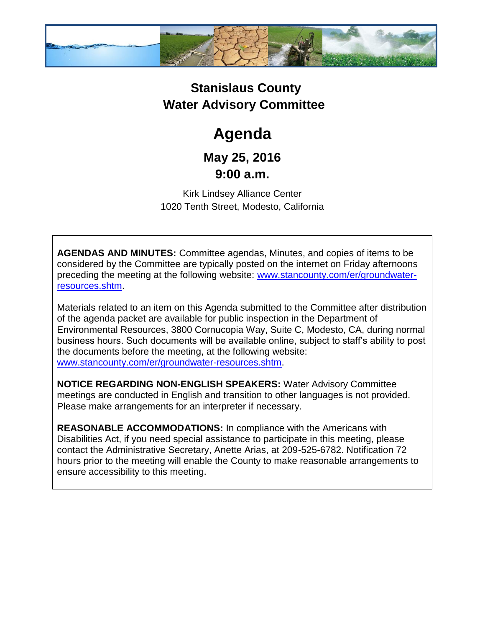

## **Stanislaus County Water Advisory Committee**

# **Agenda**

### **May 25, 2016 9:00 a.m.**

Kirk Lindsey Alliance Center 1020 Tenth Street, Modesto, California

**AGENDAS AND MINUTES:** Committee agendas, Minutes, and copies of items to be considered by the Committee are typically posted on the internet on Friday afternoons preceding the meeting at the following website: [www.stancounty.com/er/groundwater](http://www.stancounty.com/er/groundwater-resources.shtm)[resources.shtm.](http://www.stancounty.com/er/groundwater-resources.shtm)

Materials related to an item on this Agenda submitted to the Committee after distribution of the agenda packet are available for public inspection in the Department of Environmental Resources, 3800 Cornucopia Way, Suite C, Modesto, CA, during normal business hours. Such documents will be available online, subject to staff's ability to post the documents before the meeting, at the following website: [www.stancounty.com/er/groundwater-resources.shtm.](http://www.stancounty.com/er/groundwater-resources.shtm)

**NOTICE REGARDING NON-ENGLISH SPEAKERS:** Water Advisory Committee meetings are conducted in English and transition to other languages is not provided. Please make arrangements for an interpreter if necessary.

**REASONABLE ACCOMMODATIONS:** In compliance with the Americans with Disabilities Act, if you need special assistance to participate in this meeting, please contact the Administrative Secretary, Anette Arias, at 209-525-6782. Notification 72 hours prior to the meeting will enable the County to make reasonable arrangements to ensure accessibility to this meeting.